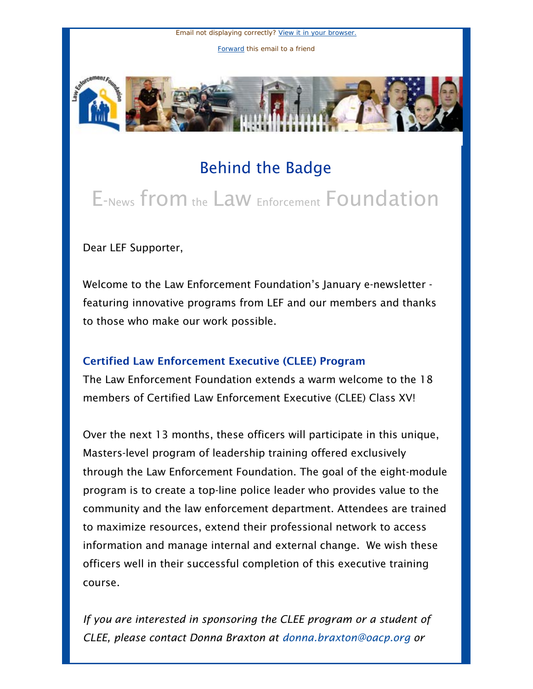Email not displaying correctly? [View it in your browser.](http://us1.campaign-archive.com/?u=55c80ada11d0a6c64310bc76a&id=48e5614da2&e=366229f65c) [Forward](http://us1.forward-to-friend.com/forward?u=55c80ada11d0a6c64310bc76a&id=48e5614da2&e=366229f65c) this email to a friend



## Behind the Badge

# E-News from the Law Enforcement Foundation

Dear LEF Supporter,

Welcome to the Law Enforcement Foundation's January e-newsletter featuring innovative programs from LEF and our members and thanks to those who make our work possible.

## Certified Law Enforcement Executive (CLEE) Program

The Law Enforcement Foundation extends a warm welcome to the 18 members of Certified Law Enforcement Executive (CLEE) Class XV!

Over the next 13 months, these officers will participate in this unique, Masters-level program of leadership training offered exclusively through the Law Enforcement Foundation. The goal of the eight-module program is to create a top-line police leader who provides value to the community and the law enforcement department. Attendees are trained to maximize resources, extend their professional network to access information and manage internal and external change. We wish these officers well in their successful completion of this executive training course.

*If you are interested in sponsoring the CLEE program or a student of CLEE, please contact Donna Braxton at [donna.braxton@oacp.org](mailto:donna.braxton@oacp.org) or*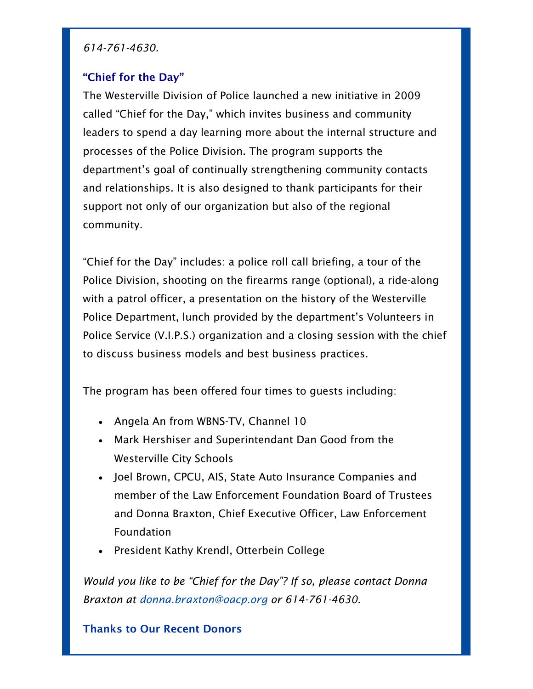#### *614-761-4630.*

#### "Chief for the Day"

The Westerville Division of Police launched a new initiative in 2009 called "Chief for the Day," which invites business and community leaders to spend a day learning more about the internal structure and processes of the Police Division. The program supports the department's goal of continually strengthening community contacts and relationships. It is also designed to thank participants for their support not only of our organization but also of the regional community.

"Chief for the Day" includes: a police roll call briefing, a tour of the Police Division, shooting on the firearms range (optional), a ride-along with a patrol officer, a presentation on the history of the Westerville Police Department, lunch provided by the department's Volunteers in Police Service (V.I.P.S.) organization and a closing session with the chief to discuss business models and best business practices.

The program has been offered four times to guests including:

- Angela An from WBNS-TV, Channel 10
- Mark Hershiser and Superintendant Dan Good from the Westerville City Schools
- Joel Brown, CPCU, AIS, State Auto Insurance Companies and member of the Law Enforcement Foundation Board of Trustees and Donna Braxton, Chief Executive Officer, Law Enforcement Foundation
- President Kathy Krendl, Otterbein College

*Would you like to be "Chief for the Day"? If so, please contact Donna Braxton at [donna.braxton@oacp.org](mailto:donna.braxton@oacp.org) or 614-761-4630.*

#### Thanks to Our Recent Donors